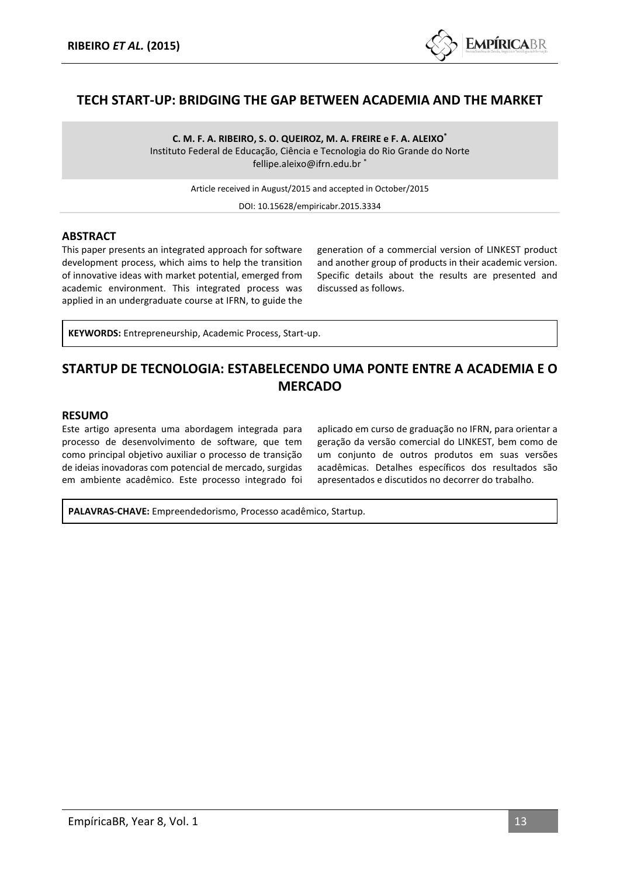

# **TECH START-UP: BRIDGING THE GAP BETWEEN ACADEMIA AND THE MARKET**

**C. M. F. A. RIBEIRO, S. O. QUEIROZ, M. A. FREIRE e F. A. ALEIXO\*** Instituto Federal de Educação, Ciência e Tecnologia do Rio Grande do Norte fellipe.aleixo@ifrn.edu.br

Article received in August/2015 and accepted in October/2015

DOI: 10.15628/empiricabr.2015.3334

#### **ABSTRACT**

This paper presents an integrated approach for software development process, which aims to help the transition of innovative ideas with market potential, emerged from academic environment. This integrated process was applied in an undergraduate course at IFRN, to guide the

generation of a commercial version of LINKEST product and another group of products in their academic version. Specific details about the results are presented and discussed as follows.

**KEYWORDS:** Entrepreneurship, Academic Process, Start-up.

# **STARTUP DE TECNOLOGIA: ESTABELECENDO UMA PONTE ENTRE A ACADEMIA E O MERCADO**

#### **RESUMO**

Este artigo apresenta uma abordagem integrada para processo de desenvolvimento de software, que tem como principal objetivo auxiliar o processo de transição de ideias inovadoras com potencial de mercado, surgidas em ambiente acadêmico. Este processo integrado foi aplicado em curso de graduação no IFRN, para orientar a geração da versão comercial do LINKEST, bem como de um conjunto de outros produtos em suas versões acadêmicas. Detalhes específicos dos resultados são apresentados e discutidos no decorrer do trabalho.

**PALAVRAS-CHAVE:** Empreendedorismo, Processo acadêmico, Startup.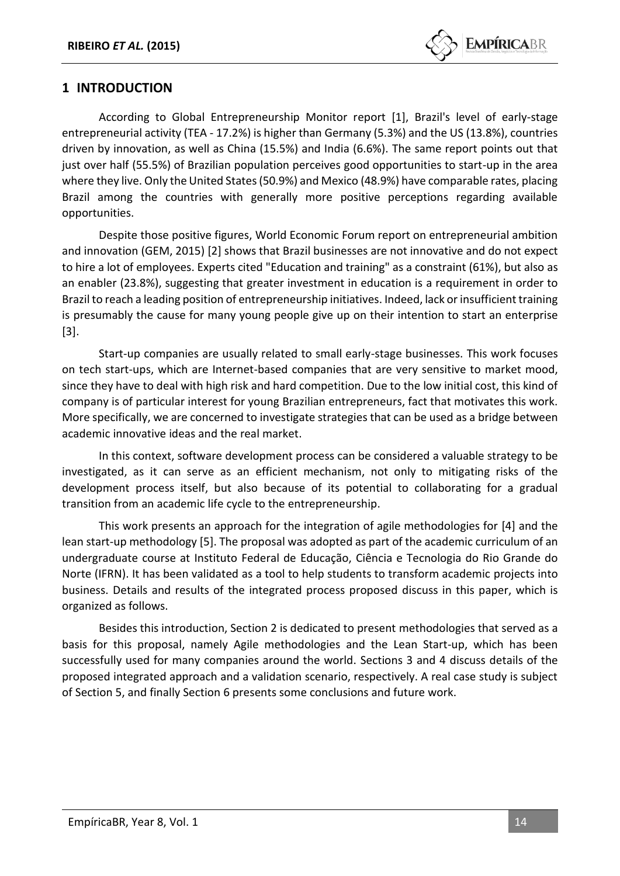

# **1 INTRODUCTION**

According to Global Entrepreneurship Monitor report [1], Brazil's level of early-stage entrepreneurial activity (TEA - 17.2%) is higher than Germany (5.3%) and the US (13.8%), countries driven by innovation, as well as China (15.5%) and India (6.6%). The same report points out that just over half (55.5%) of Brazilian population perceives good opportunities to start-up in the area where they live. Only the United States (50.9%) and Mexico (48.9%) have comparable rates, placing Brazil among the countries with generally more positive perceptions regarding available opportunities.

Despite those positive figures, World Economic Forum report on entrepreneurial ambition and innovation (GEM, 2015) [2] shows that Brazil businesses are not innovative and do not expect to hire a lot of employees. Experts cited "Education and training" as a constraint (61%), but also as an enabler (23.8%), suggesting that greater investment in education is a requirement in order to Brazil to reach a leading position of entrepreneurship initiatives. Indeed, lack or insufficient training is presumably the cause for many young people give up on their intention to start an enterprise [3].

Start-up companies are usually related to small early-stage businesses. This work focuses on tech start-ups, which are Internet-based companies that are very sensitive to market mood, since they have to deal with high risk and hard competition. Due to the low initial cost, this kind of company is of particular interest for young Brazilian entrepreneurs, fact that motivates this work. More specifically, we are concerned to investigate strategies that can be used as a bridge between academic innovative ideas and the real market.

In this context, software development process can be considered a valuable strategy to be investigated, as it can serve as an efficient mechanism, not only to mitigating risks of the development process itself, but also because of its potential to collaborating for a gradual transition from an academic life cycle to the entrepreneurship.

This work presents an approach for the integration of agile methodologies for [4] and the lean start-up methodology [5]. The proposal was adopted as part of the academic curriculum of an undergraduate course at Instituto Federal de Educação, Ciência e Tecnologia do Rio Grande do Norte (IFRN). It has been validated as a tool to help students to transform academic projects into business. Details and results of the integrated process proposed discuss in this paper, which is organized as follows.

Besides this introduction, Section 2 is dedicated to present methodologies that served as a basis for this proposal, namely Agile methodologies and the Lean Start-up, which has been successfully used for many companies around the world. Sections 3 and 4 discuss details of the proposed integrated approach and a validation scenario, respectively. A real case study is subject of Section 5, and finally Section 6 presents some conclusions and future work.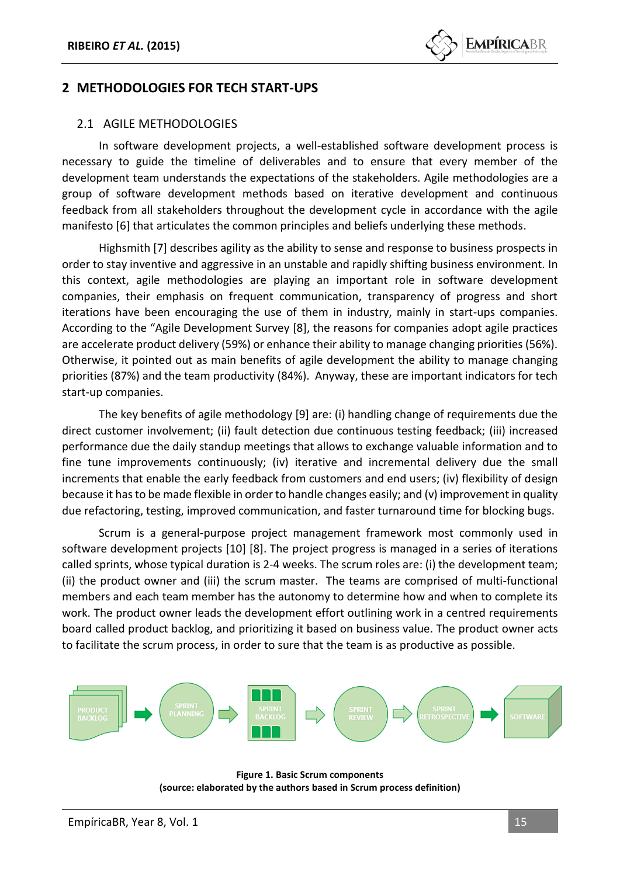# **2 METHODOLOGIES FOR TECH START-UPS**

#### 2.1 AGILE METHODOLOGIES

In software development projects, a well-established software development process is necessary to guide the timeline of deliverables and to ensure that every member of the development team understands the expectations of the stakeholders. Agile methodologies are a group of software development methods based on iterative development and continuous feedback from all stakeholders throughout the development cycle in accordance with the agile manifesto [6] that articulates the common principles and beliefs underlying these methods.

Highsmith [7] describes agility as the ability to sense and response to business prospects in order to stay inventive and aggressive in an unstable and rapidly shifting business environment. In this context, agile methodologies are playing an important role in software development companies, their emphasis on frequent communication, transparency of progress and short iterations have been encouraging the use of them in industry, mainly in start-ups companies. According to the "Agile Development Survey [8], the reasons for companies adopt agile practices are accelerate product delivery (59%) or enhance their ability to manage changing priorities (56%). Otherwise, it pointed out as main benefits of agile development the ability to manage changing priorities (87%) and the team productivity (84%). Anyway, these are important indicators for tech start-up companies.

The key benefits of agile methodology [9] are: (i) handling change of requirements due the direct customer involvement; (ii) fault detection due continuous testing feedback; (iii) increased performance due the daily standup meetings that allows to exchange valuable information and to fine tune improvements continuously; (iv) iterative and incremental delivery due the small increments that enable the early feedback from customers and end users; (iv) flexibility of design because it has to be made flexible in order to handle changes easily; and (v) improvement in quality due refactoring, testing, improved communication, and faster turnaround time for blocking bugs.

Scrum is a general-purpose project management framework most commonly used in software development projects [10] [8]. The project progress is managed in a series of iterations called sprints, whose typical duration is 2-4 weeks. The scrum roles are: (i) the development team; (ii) the product owner and (iii) the scrum master. The teams are comprised of multi-functional members and each team member has the autonomy to determine how and when to complete its work. The product owner leads the development effort outlining work in a centred requirements board called product backlog, and prioritizing it based on business value. The product owner acts to facilitate the scrum process, in order to sure that the team is as productive as possible.



**Figure 1. Basic Scrum components (source: elaborated by the authors based in Scrum process definition)**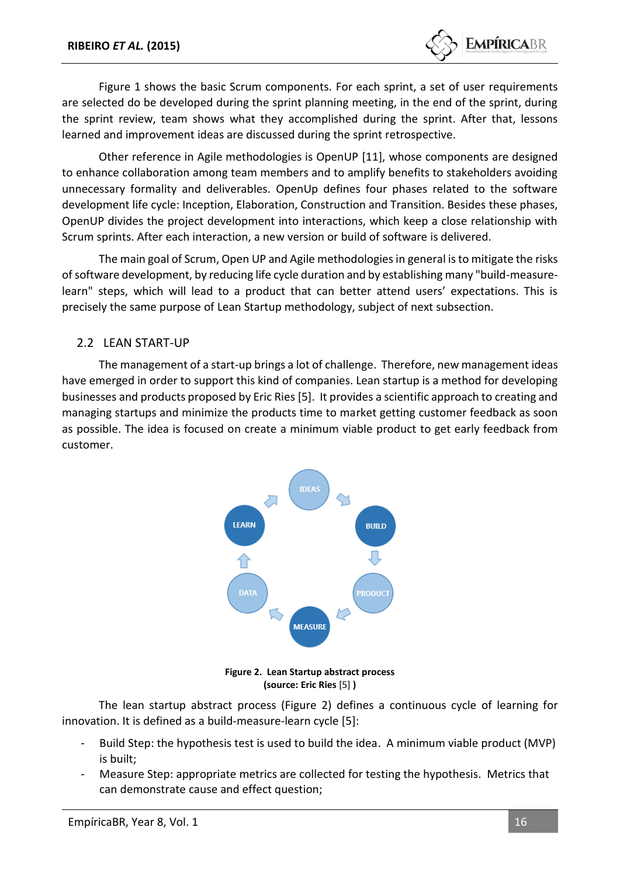

Figure 1 shows the basic Scrum components. For each sprint, a set of user requirements are selected do be developed during the sprint planning meeting, in the end of the sprint, during the sprint review, team shows what they accomplished during the sprint. After that, lessons learned and improvement ideas are discussed during the sprint retrospective.

Other reference in Agile methodologies is OpenUP [11], whose components are designed to enhance collaboration among team members and to amplify benefits to stakeholders avoiding unnecessary formality and deliverables. OpenUp defines four phases related to the software development life cycle: Inception, Elaboration, Construction and Transition. Besides these phases, OpenUP divides the project development into interactions, which keep a close relationship with Scrum sprints. After each interaction, a new version or build of software is delivered.

The main goal of Scrum, Open UP and Agile methodologies in general is to mitigate the risks of software development, by reducing life cycle duration and by establishing many "build-measurelearn" steps, which will lead to a product that can better attend users' expectations. This is precisely the same purpose of Lean Startup methodology, subject of next subsection.

#### 2.2 LEAN START-UP

The management of a start-up brings a lot of challenge. Therefore, new management ideas have emerged in order to support this kind of companies. Lean startup is a method for developing businesses and products proposed by Eric Ries [5]. It provides a scientific approach to creating and managing startups and minimize the products time to market getting customer feedback as soon as possible. The idea is focused on create a minimum viable product to get early feedback from customer.



**Figure 2. Lean Startup abstract process (source: Eric Ries** [5] **)**

The lean startup abstract process (Figure 2) defines a continuous cycle of learning for innovation. It is defined as a build-measure-learn cycle [5]:

- Build Step: the hypothesis test is used to build the idea. A minimum viable product (MVP) is built;
- Measure Step: appropriate metrics are collected for testing the hypothesis. Metrics that can demonstrate cause and effect question;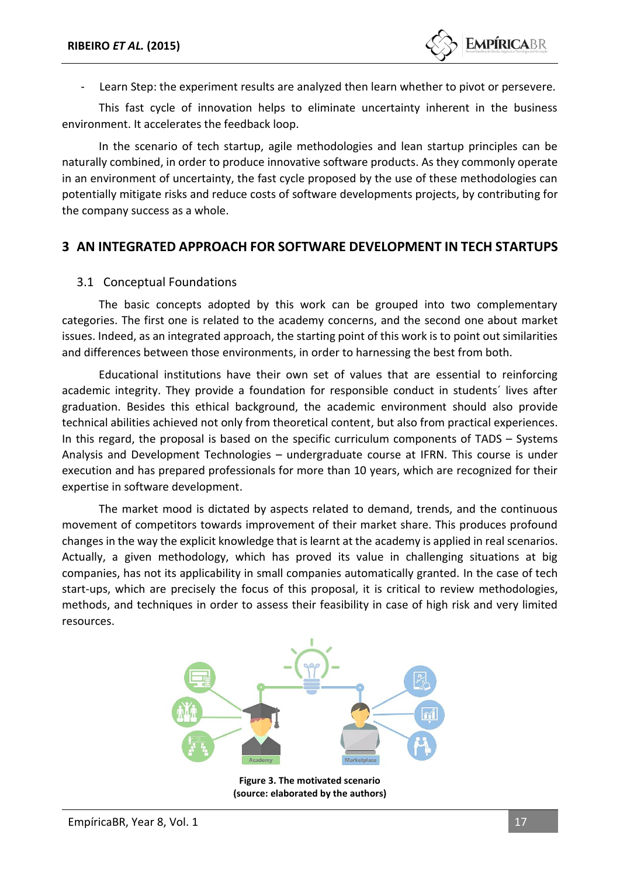Learn Step: the experiment results are analyzed then learn whether to pivot or persevere.

This fast cycle of innovation helps to eliminate uncertainty inherent in the business environment. It accelerates the feedback loop.

In the scenario of tech startup, agile methodologies and lean startup principles can be naturally combined, in order to produce innovative software products. As they commonly operate in an environment of uncertainty, the fast cycle proposed by the use of these methodologies can potentially mitigate risks and reduce costs of software developments projects, by contributing for the company success as a whole.

# **3 AN INTEGRATED APPROACH FOR SOFTWARE DEVELOPMENT IN TECH STARTUPS**

#### 3.1 Conceptual Foundations

The basic concepts adopted by this work can be grouped into two complementary categories. The first one is related to the academy concerns, and the second one about market issues. Indeed, as an integrated approach, the starting point of this work is to point out similarities and differences between those environments, in order to harnessing the best from both.

Educational institutions have their own set of values that are essential to reinforcing academic integrity. They provide a foundation for responsible conduct in students´ lives after graduation. Besides this ethical background, the academic environment should also provide technical abilities achieved not only from theoretical content, but also from practical experiences. In this regard, the proposal is based on the specific curriculum components of TADS – Systems Analysis and Development Technologies – undergraduate course at IFRN. This course is under execution and has prepared professionals for more than 10 years, which are recognized for their expertise in software development.

The market mood is dictated by aspects related to demand, trends, and the continuous movement of competitors towards improvement of their market share. This produces profound changes in the way the explicit knowledge that is learnt at the academy is applied in real scenarios. Actually, a given methodology, which has proved its value in challenging situations at big companies, has not its applicability in small companies automatically granted. In the case of tech start-ups, which are precisely the focus of this proposal, it is critical to review methodologies, methods, and techniques in order to assess their feasibility in case of high risk and very limited resources.



**Figure 3. The motivated scenario (source: elaborated by the authors)**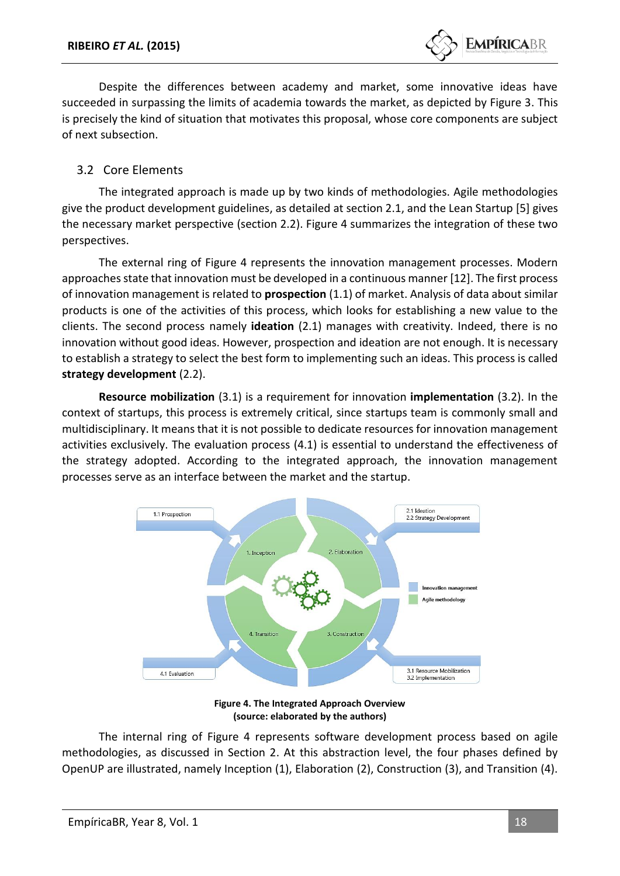

Despite the differences between academy and market, some innovative ideas have succeeded in surpassing the limits of academia towards the market, as depicted by Figure 3. This is precisely the kind of situation that motivates this proposal, whose core components are subject of next subsection.

### 3.2 Core Elements

The integrated approach is made up by two kinds of methodologies. Agile methodologies give the product development guidelines, as detailed at section 2.1, and the Lean Startup [5] gives the necessary market perspective (section 2.2). Figure 4 summarizes the integration of these two perspectives.

The external ring of Figure 4 represents the innovation management processes. Modern approaches state that innovation must be developed in a continuous manner [12]. The first process of innovation management is related to **prospection** (1.1) of market. Analysis of data about similar products is one of the activities of this process, which looks for establishing a new value to the clients. The second process namely **ideation** (2.1) manages with creativity. Indeed, there is no innovation without good ideas. However, prospection and ideation are not enough. It is necessary to establish a strategy to select the best form to implementing such an ideas. This process is called **strategy development** (2.2).

**Resource mobilization** (3.1) is a requirement for innovation **implementation** (3.2). In the context of startups, this process is extremely critical, since startups team is commonly small and multidisciplinary. It means that it is not possible to dedicate resources for innovation management activities exclusively. The evaluation process (4.1) is essential to understand the effectiveness of the strategy adopted. According to the integrated approach, the innovation management processes serve as an interface between the market and the startup.



**Figure 4. The Integrated Approach Overview (source: elaborated by the authors)**

The internal ring of Figure 4 represents software development process based on agile methodologies, as discussed in Section 2. At this abstraction level, the four phases defined by OpenUP are illustrated, namely Inception (1), Elaboration (2), Construction (3), and Transition (4).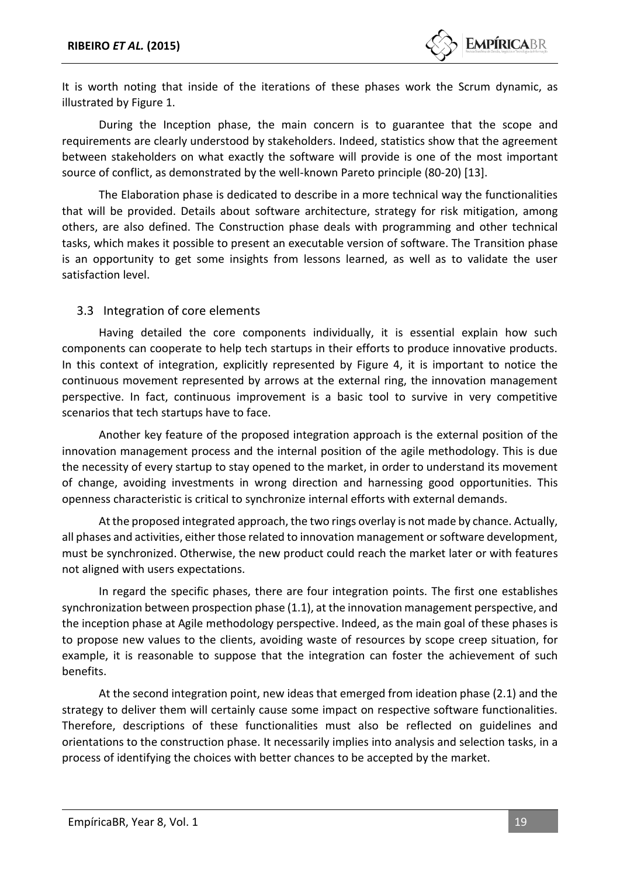It is worth noting that inside of the iterations of these phases work the Scrum dynamic, as illustrated by Figure 1.

During the Inception phase, the main concern is to guarantee that the scope and requirements are clearly understood by stakeholders. Indeed, statistics show that the agreement between stakeholders on what exactly the software will provide is one of the most important source of conflict, as demonstrated by the well-known Pareto principle (80-20) [13].

The Elaboration phase is dedicated to describe in a more technical way the functionalities that will be provided. Details about software architecture, strategy for risk mitigation, among others, are also defined. The Construction phase deals with programming and other technical tasks, which makes it possible to present an executable version of software. The Transition phase is an opportunity to get some insights from lessons learned, as well as to validate the user satisfaction level.

#### 3.3 Integration of core elements

Having detailed the core components individually, it is essential explain how such components can cooperate to help tech startups in their efforts to produce innovative products. In this context of integration, explicitly represented by Figure 4, it is important to notice the continuous movement represented by arrows at the external ring, the innovation management perspective. In fact, continuous improvement is a basic tool to survive in very competitive scenarios that tech startups have to face.

Another key feature of the proposed integration approach is the external position of the innovation management process and the internal position of the agile methodology. This is due the necessity of every startup to stay opened to the market, in order to understand its movement of change, avoiding investments in wrong direction and harnessing good opportunities. This openness characteristic is critical to synchronize internal efforts with external demands.

At the proposed integrated approach, the two rings overlay is not made by chance. Actually, all phases and activities, either those related to innovation management or software development, must be synchronized. Otherwise, the new product could reach the market later or with features not aligned with users expectations.

In regard the specific phases, there are four integration points. The first one establishes synchronization between prospection phase (1.1), at the innovation management perspective, and the inception phase at Agile methodology perspective. Indeed, as the main goal of these phases is to propose new values to the clients, avoiding waste of resources by scope creep situation, for example, it is reasonable to suppose that the integration can foster the achievement of such benefits.

At the second integration point, new ideas that emerged from ideation phase (2.1) and the strategy to deliver them will certainly cause some impact on respective software functionalities. Therefore, descriptions of these functionalities must also be reflected on guidelines and orientations to the construction phase. It necessarily implies into analysis and selection tasks, in a process of identifying the choices with better chances to be accepted by the market.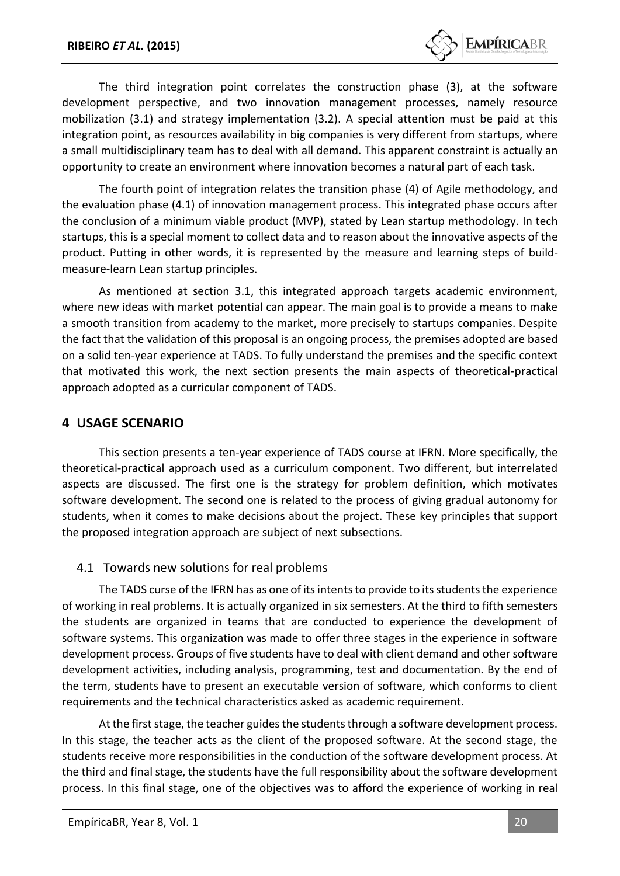

The third integration point correlates the construction phase (3), at the software development perspective, and two innovation management processes, namely resource mobilization (3.1) and strategy implementation (3.2). A special attention must be paid at this integration point, as resources availability in big companies is very different from startups, where a small multidisciplinary team has to deal with all demand. This apparent constraint is actually an opportunity to create an environment where innovation becomes a natural part of each task.

The fourth point of integration relates the transition phase (4) of Agile methodology, and the evaluation phase (4.1) of innovation management process. This integrated phase occurs after the conclusion of a minimum viable product (MVP), stated by Lean startup methodology. In tech startups, this is a special moment to collect data and to reason about the innovative aspects of the product. Putting in other words, it is represented by the measure and learning steps of buildmeasure-learn Lean startup principles.

As mentioned at section 3.1, this integrated approach targets academic environment, where new ideas with market potential can appear. The main goal is to provide a means to make a smooth transition from academy to the market, more precisely to startups companies. Despite the fact that the validation of this proposal is an ongoing process, the premises adopted are based on a solid ten-year experience at TADS. To fully understand the premises and the specific context that motivated this work, the next section presents the main aspects of theoretical-practical approach adopted as a curricular component of TADS.

### **4 USAGE SCENARIO**

This section presents a ten-year experience of TADS course at IFRN. More specifically, the theoretical-practical approach used as a curriculum component. Two different, but interrelated aspects are discussed. The first one is the strategy for problem definition, which motivates software development. The second one is related to the process of giving gradual autonomy for students, when it comes to make decisions about the project. These key principles that support the proposed integration approach are subject of next subsections.

#### 4.1 Towards new solutions for real problems

The TADS curse of the IFRN has as one of its intents to provide to its students the experience of working in real problems. It is actually organized in six semesters. At the third to fifth semesters the students are organized in teams that are conducted to experience the development of software systems. This organization was made to offer three stages in the experience in software development process. Groups of five students have to deal with client demand and other software development activities, including analysis, programming, test and documentation. By the end of the term, students have to present an executable version of software, which conforms to client requirements and the technical characteristics asked as academic requirement.

At the first stage, the teacher guides the students through a software development process. In this stage, the teacher acts as the client of the proposed software. At the second stage, the students receive more responsibilities in the conduction of the software development process. At the third and final stage, the students have the full responsibility about the software development process. In this final stage, one of the objectives was to afford the experience of working in real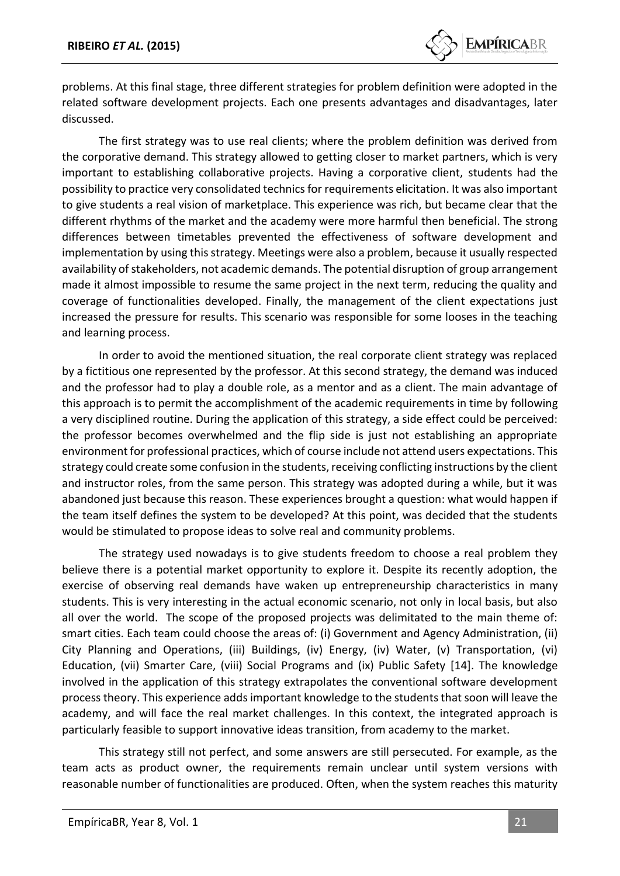problems. At this final stage, three different strategies for problem definition were adopted in the related software development projects. Each one presents advantages and disadvantages, later discussed.

The first strategy was to use real clients; where the problem definition was derived from the corporative demand. This strategy allowed to getting closer to market partners, which is very important to establishing collaborative projects. Having a corporative client, students had the possibility to practice very consolidated technics for requirements elicitation. It was also important to give students a real vision of marketplace. This experience was rich, but became clear that the different rhythms of the market and the academy were more harmful then beneficial. The strong differences between timetables prevented the effectiveness of software development and implementation by using this strategy. Meetings were also a problem, because it usually respected availability of stakeholders, not academic demands. The potential disruption of group arrangement made it almost impossible to resume the same project in the next term, reducing the quality and coverage of functionalities developed. Finally, the management of the client expectations just increased the pressure for results. This scenario was responsible for some looses in the teaching and learning process.

In order to avoid the mentioned situation, the real corporate client strategy was replaced by a fictitious one represented by the professor. At this second strategy, the demand was induced and the professor had to play a double role, as a mentor and as a client. The main advantage of this approach is to permit the accomplishment of the academic requirements in time by following a very disciplined routine. During the application of this strategy, a side effect could be perceived: the professor becomes overwhelmed and the flip side is just not establishing an appropriate environment for professional practices, which of course include not attend users expectations. This strategy could create some confusion in the students, receiving conflicting instructions by the client and instructor roles, from the same person. This strategy was adopted during a while, but it was abandoned just because this reason. These experiences brought a question: what would happen if the team itself defines the system to be developed? At this point, was decided that the students would be stimulated to propose ideas to solve real and community problems.

The strategy used nowadays is to give students freedom to choose a real problem they believe there is a potential market opportunity to explore it. Despite its recently adoption, the exercise of observing real demands have waken up entrepreneurship characteristics in many students. This is very interesting in the actual economic scenario, not only in local basis, but also all over the world. The scope of the proposed projects was delimitated to the main theme of: smart cities. Each team could choose the areas of: (i) Government and Agency Administration, (ii) City Planning and Operations, (iii) Buildings, (iv) Energy, (iv) Water, (v) Transportation, (vi) Education, (vii) Smarter Care, (viii) Social Programs and (ix) Public Safety [14]. The knowledge involved in the application of this strategy extrapolates the conventional software development process theory. This experience adds important knowledge to the students that soon will leave the academy, and will face the real market challenges. In this context, the integrated approach is particularly feasible to support innovative ideas transition, from academy to the market.

This strategy still not perfect, and some answers are still persecuted. For example, as the team acts as product owner, the requirements remain unclear until system versions with reasonable number of functionalities are produced. Often, when the system reaches this maturity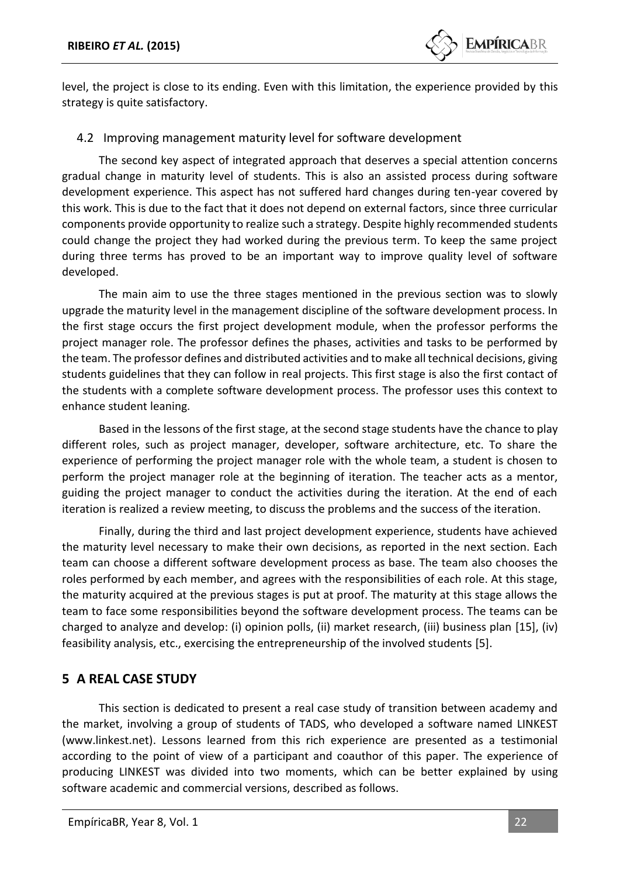

level, the project is close to its ending. Even with this limitation, the experience provided by this strategy is quite satisfactory.

#### 4.2 Improving management maturity level for software development

The second key aspect of integrated approach that deserves a special attention concerns gradual change in maturity level of students. This is also an assisted process during software development experience. This aspect has not suffered hard changes during ten-year covered by this work. This is due to the fact that it does not depend on external factors, since three curricular components provide opportunity to realize such a strategy. Despite highly recommended students could change the project they had worked during the previous term. To keep the same project during three terms has proved to be an important way to improve quality level of software developed.

The main aim to use the three stages mentioned in the previous section was to slowly upgrade the maturity level in the management discipline of the software development process. In the first stage occurs the first project development module, when the professor performs the project manager role. The professor defines the phases, activities and tasks to be performed by the team. The professor defines and distributed activities and to make all technical decisions, giving students guidelines that they can follow in real projects. This first stage is also the first contact of the students with a complete software development process. The professor uses this context to enhance student leaning.

Based in the lessons of the first stage, at the second stage students have the chance to play different roles, such as project manager, developer, software architecture, etc. To share the experience of performing the project manager role with the whole team, a student is chosen to perform the project manager role at the beginning of iteration. The teacher acts as a mentor, guiding the project manager to conduct the activities during the iteration. At the end of each iteration is realized a review meeting, to discuss the problems and the success of the iteration.

Finally, during the third and last project development experience, students have achieved the maturity level necessary to make their own decisions, as reported in the next section. Each team can choose a different software development process as base. The team also chooses the roles performed by each member, and agrees with the responsibilities of each role. At this stage, the maturity acquired at the previous stages is put at proof. The maturity at this stage allows the team to face some responsibilities beyond the software development process. The teams can be charged to analyze and develop: (i) opinion polls, (ii) market research, (iii) business plan [15], (iv) feasibility analysis, etc., exercising the entrepreneurship of the involved students [5].

# **5 A REAL CASE STUDY**

This section is dedicated to present a real case study of transition between academy and the market, involving a group of students of TADS, who developed a software named LINKEST (www.linkest.net). Lessons learned from this rich experience are presented as a testimonial according to the point of view of a participant and coauthor of this paper. The experience of producing LINKEST was divided into two moments, which can be better explained by using software academic and commercial versions, described as follows.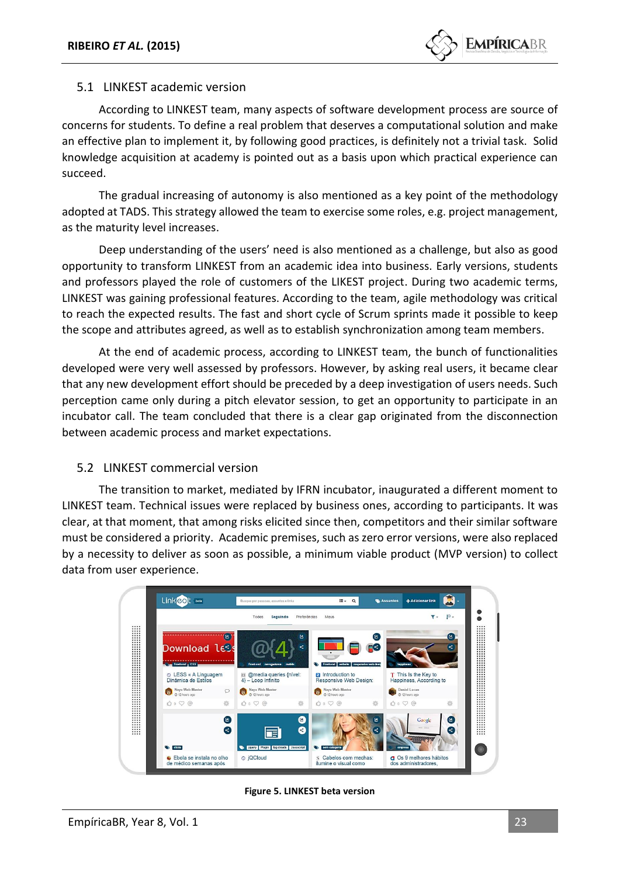#### 5.1 LINKEST academic version

According to LINKEST team, many aspects of software development process are source of concerns for students. To define a real problem that deserves a computational solution and make an effective plan to implement it, by following good practices, is definitely not a trivial task. Solid knowledge acquisition at academy is pointed out as a basis upon which practical experience can succeed.

The gradual increasing of autonomy is also mentioned as a key point of the methodology adopted at TADS. This strategy allowed the team to exercise some roles, e.g. project management, as the maturity level increases.

Deep understanding of the users' need is also mentioned as a challenge, but also as good opportunity to transform LINKEST from an academic idea into business. Early versions, students and professors played the role of customers of the LIKEST project. During two academic terms, LINKEST was gaining professional features. According to the team, agile methodology was critical to reach the expected results. The fast and short cycle of Scrum sprints made it possible to keep the scope and attributes agreed, as well as to establish synchronization among team members.

At the end of academic process, according to LINKEST team, the bunch of functionalities developed were very well assessed by professors. However, by asking real users, it became clear that any new development effort should be preceded by a deep investigation of users needs. Such perception came only during a pitch elevator session, to get an opportunity to participate in an incubator call. The team concluded that there is a clear gap originated from the disconnection between academic process and market expectations.

#### 5.2 LINKEST commercial version

The transition to market, mediated by IFRN incubator, inaugurated a different moment to LINKEST team. Technical issues were replaced by business ones, according to participants. It was clear, at that moment, that among risks elicited since then, competitors and their similar software must be considered a priority. Academic premises, such as zero error versions, were also replaced by a necessity to deliver as soon as possible, a minimum viable product (MVP version) to collect data from user experience.



**Figure 5. LINKEST beta version**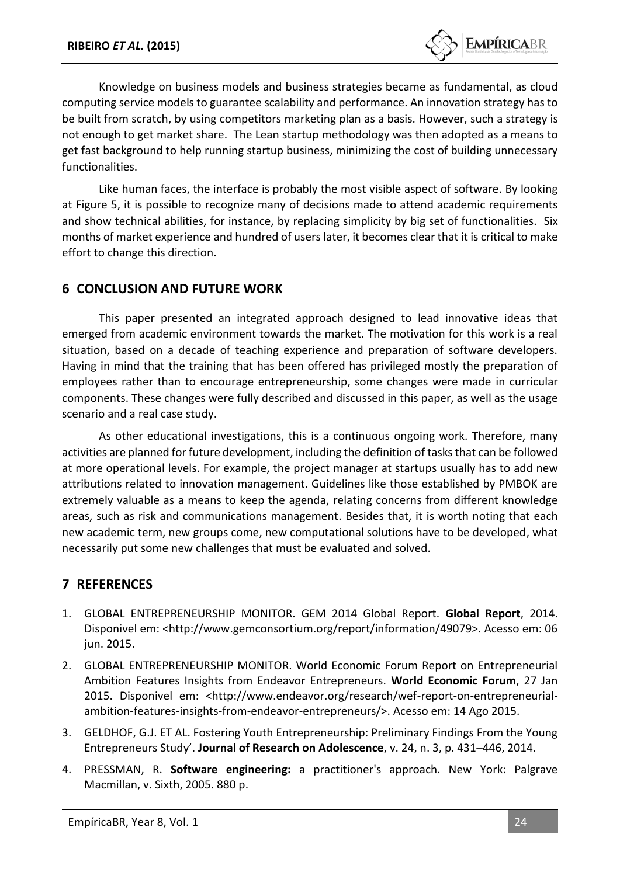

Knowledge on business models and business strategies became as fundamental, as cloud computing service models to guarantee scalability and performance. An innovation strategy has to be built from scratch, by using competitors marketing plan as a basis. However, such a strategy is not enough to get market share. The Lean startup methodology was then adopted as a means to get fast background to help running startup business, minimizing the cost of building unnecessary functionalities.

Like human faces, the interface is probably the most visible aspect of software. By looking at Figure 5, it is possible to recognize many of decisions made to attend academic requirements and show technical abilities, for instance, by replacing simplicity by big set of functionalities. Six months of market experience and hundred of users later, it becomes clear that it is critical to make effort to change this direction.

### **6 CONCLUSION AND FUTURE WORK**

This paper presented an integrated approach designed to lead innovative ideas that emerged from academic environment towards the market. The motivation for this work is a real situation, based on a decade of teaching experience and preparation of software developers. Having in mind that the training that has been offered has privileged mostly the preparation of employees rather than to encourage entrepreneurship, some changes were made in curricular components. These changes were fully described and discussed in this paper, as well as the usage scenario and a real case study.

As other educational investigations, this is a continuous ongoing work. Therefore, many activities are planned for future development, including the definition of tasks that can be followed at more operational levels. For example, the project manager at startups usually has to add new attributions related to innovation management. Guidelines like those established by PMBOK are extremely valuable as a means to keep the agenda, relating concerns from different knowledge areas, such as risk and communications management. Besides that, it is worth noting that each new academic term, new groups come, new computational solutions have to be developed, what necessarily put some new challenges that must be evaluated and solved.

# **7 REFERENCES**

- 1. GLOBAL ENTREPRENEURSHIP MONITOR. GEM 2014 Global Report. **Global Report**, 2014. Disponivel em: <http://www.gemconsortium.org/report/information/49079>. Acesso em: 06 jun. 2015.
- 2. GLOBAL ENTREPRENEURSHIP MONITOR. World Economic Forum Report on Entrepreneurial Ambition Features Insights from Endeavor Entrepreneurs. **World Economic Forum**, 27 Jan 2015. Disponivel em: <http://www.endeavor.org/research/wef-report-on-entrepreneurialambition-features-insights-from-endeavor-entrepreneurs/>. Acesso em: 14 Ago 2015.
- 3. GELDHOF, G.J. ET AL. Fostering Youth Entrepreneurship: Preliminary Findings From the Young Entrepreneurs Study'. **Journal of Research on Adolescence**, v. 24, n. 3, p. 431–446, 2014.
- 4. PRESSMAN, R. **Software engineering:** a practitioner's approach. New York: Palgrave Macmillan, v. Sixth, 2005. 880 p.